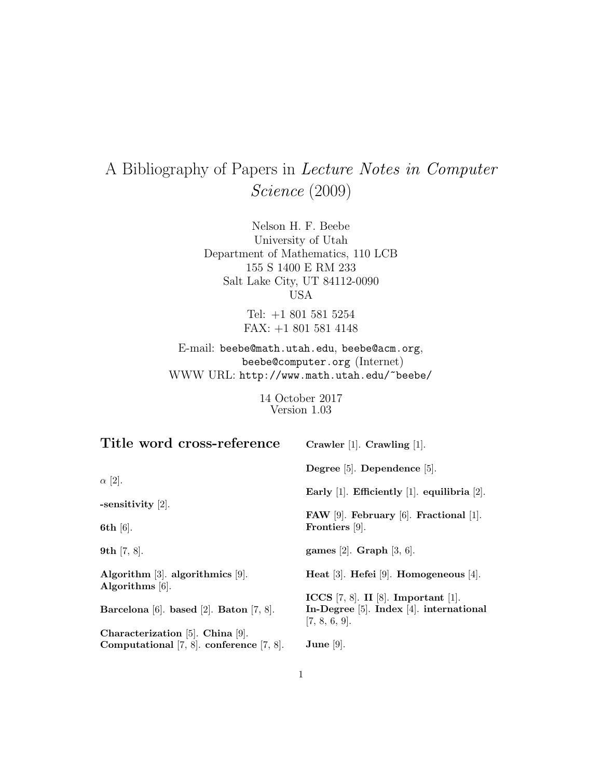# A Bibliography of Papers in Lecture Notes in Computer Science (2009)

Nelson H. F. Beebe University of Utah Department of Mathematics, 110 LCB 155 S 1400 E RM 233 Salt Lake City, UT 84112-0090 USA

> Tel: +1 801 581 5254 FAX: +1 801 581 4148

E-mail: beebe@math.utah.edu, beebe@acm.org, beebe@computer.org (Internet) WWW URL: http://www.math.utah.edu/~beebe/

> 14 October 2017 Version 1.03

| Title word cross-reference                     | Crawler $[1]$ . Crawling $[1]$ .                               |
|------------------------------------------------|----------------------------------------------------------------|
|                                                | Degree $[5]$ . Dependence $[5]$ .                              |
| $\alpha$ [2].                                  | Early $[1]$ . Efficiently $[1]$ . equilibria $[2]$ .           |
| -sensitivity $[2]$ .                           | FAW [9]. February [6]. Fractional [1].                         |
| 6th $[6]$ .                                    | Frontiers [9].                                                 |
| 9th $[7, 8]$ .                                 | games [2]. Graph [3, 6].                                       |
| Algorithm $[3]$ . algorithmics $[9]$ .         | Heat [3]. Hefei [9]. Homogeneous [4].                          |
| Algorithms $[6]$ .                             | <b>ICCS</b> [7, 8]. <b>II</b> [8]. <b>Important</b> [1].       |
| Barcelona [6]. based [2]. Baton [7, 8].        | In-Degree $[5]$ . Index $[4]$ . international<br>[7, 8, 6, 9]. |
| Characterization $[5]$ . China $[9]$ .         |                                                                |
| Computational $[7, 8]$ . conference $[7, 8]$ . | June $[9]$ .                                                   |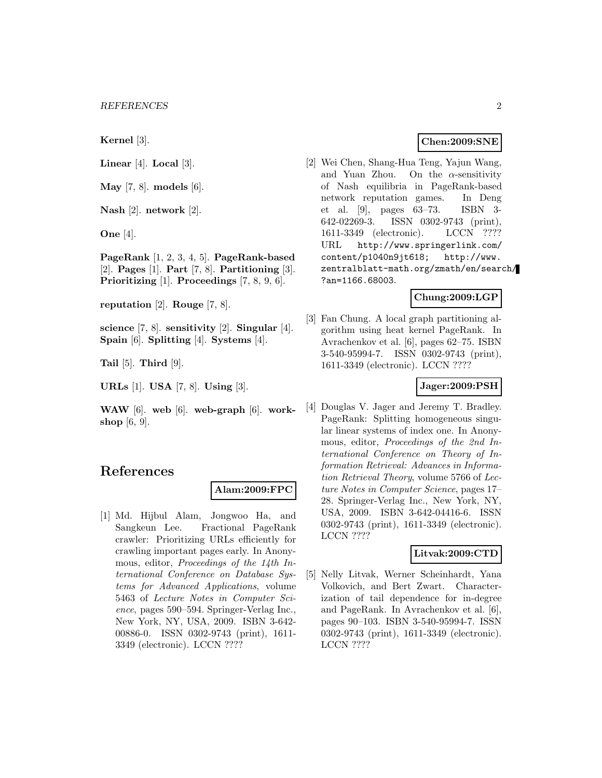**Kernel** [3].

**Linear** [4]. **Local** [3].

**May** [7, 8]. **models** [6].

**Nash** [2]. **network** [2].

**One** [4].

**PageRank** [1, 2, 3, 4, 5]. **PageRank-based** [2]. **Pages** [1]. **Part** [7, 8]. **Partitioning** [3]. **Prioritizing** [1]. **Proceedings** [7, 8, 9, 6].

**reputation** [2]. **Rouge** [7, 8].

**science** [7, 8]. **sensitivity** [2]. **Singular** [4]. **Spain** [6]. **Splitting** [4]. **Systems** [4].

**Tail** [5]. **Third** [9].

**URLs** [1]. **USA** [7, 8]. **Using** [3].

**WAW** [6]. **web** [6]. **web-graph** [6]. **workshop** [6, 9].

# **References**

#### **Alam:2009:FPC**

[1] Md. Hijbul Alam, Jongwoo Ha, and Sangkeun Lee. Fractional PageRank crawler: Prioritizing URLs efficiently for crawling important pages early. In Anonymous, editor, Proceedings of the 14th International Conference on Database Systems for Advanced Applications, volume 5463 of Lecture Notes in Computer Science, pages 590–594. Springer-Verlag Inc., New York, NY, USA, 2009. ISBN 3-642- 00886-0. ISSN 0302-9743 (print), 1611- 3349 (electronic). LCCN ????

#### **Chen:2009:SNE**

[2] Wei Chen, Shang-Hua Teng, Yajun Wang, and Yuan Zhou. On the  $\alpha$ -sensitivity of Nash equilibria in PageRank-based network reputation games. In Deng et al. [9], pages 63–73. ISBN 3- 642-02269-3. ISSN 0302-9743 (print), 1611-3349 (electronic). LCCN ???? URL http://www.springerlink.com/ content/p1040n9jt618; http://www. zentralblatt-math.org/zmath/en/search/ ?an=1166.68003.

#### **Chung:2009:LGP**

[3] Fan Chung. A local graph partitioning algorithm using heat kernel PageRank. In Avrachenkov et al. [6], pages 62–75. ISBN 3-540-95994-7. ISSN 0302-9743 (print), 1611-3349 (electronic). LCCN ????

#### **Jager:2009:PSH**

[4] Douglas V. Jager and Jeremy T. Bradley. PageRank: Splitting homogeneous singular linear systems of index one. In Anonymous, editor, Proceedings of the 2nd International Conference on Theory of Information Retrieval: Advances in Information Retrieval Theory, volume 5766 of Lecture Notes in Computer Science, pages 17– 28. Springer-Verlag Inc., New York, NY, USA, 2009. ISBN 3-642-04416-6. ISSN 0302-9743 (print), 1611-3349 (electronic). LCCN ????

#### **Litvak:2009:CTD**

[5] Nelly Litvak, Werner Scheinhardt, Yana Volkovich, and Bert Zwart. Characterization of tail dependence for in-degree and PageRank. In Avrachenkov et al. [6], pages 90–103. ISBN 3-540-95994-7. ISSN 0302-9743 (print), 1611-3349 (electronic). LCCN ????